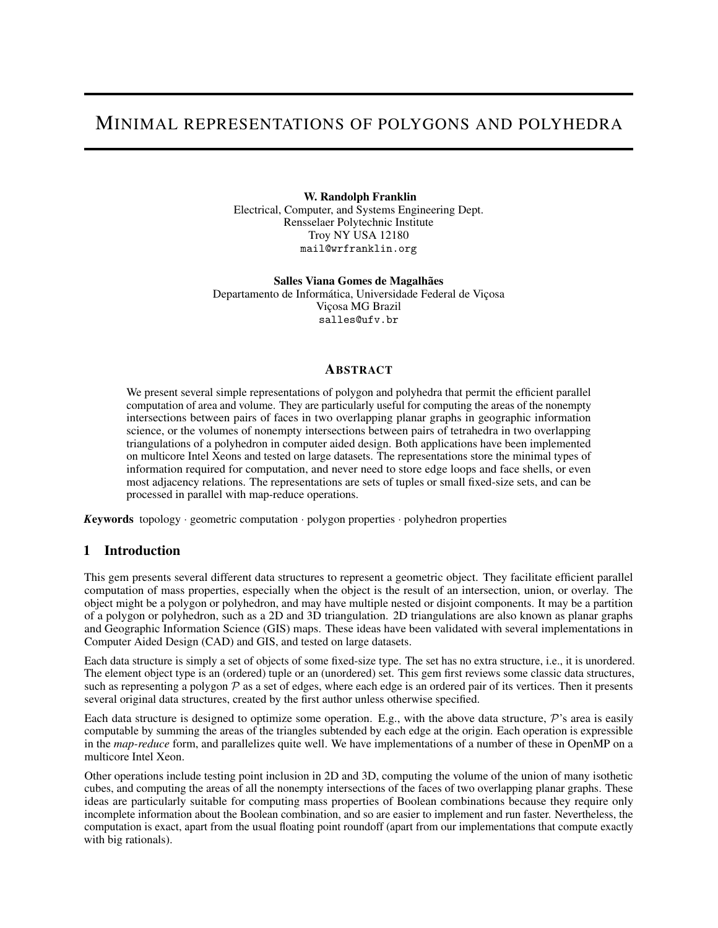# MINIMAL REPRESENTATIONS OF POLYGONS AND POLYHEDRA

W. Randolph Franklin Electrical, Computer, and Systems Engineering Dept. Rensselaer Polytechnic Institute Troy NY USA 12180 mail@wrfranklin.org

Salles Viana Gomes de Magalhães Departamento de Informática, Universidade Federal de Viçosa Viçosa MG Brazil salles@ufv.br

### **ABSTRACT**

We present several simple representations of polygon and polyhedra that permit the efficient parallel computation of area and volume. They are particularly useful for computing the areas of the nonempty intersections between pairs of faces in two overlapping planar graphs in geographic information science, or the volumes of nonempty intersections between pairs of tetrahedra in two overlapping triangulations of a polyhedron in computer aided design. Both applications have been implemented on multicore Intel Xeons and tested on large datasets. The representations store the minimal types of information required for computation, and never need to store edge loops and face shells, or even most adjacency relations. The representations are sets of tuples or small fixed-size sets, and can be processed in parallel with map-reduce operations.

*K*eywords topology · geometric computation · polygon properties · polyhedron properties

## 1 Introduction

This gem presents several different data structures to represent a geometric object. They facilitate efficient parallel computation of mass properties, especially when the object is the result of an intersection, union, or overlay. The object might be a polygon or polyhedron, and may have multiple nested or disjoint components. It may be a partition of a polygon or polyhedron, such as a 2D and 3D triangulation. 2D triangulations are also known as planar graphs and Geographic Information Science (GIS) maps. These ideas have been validated with several implementations in Computer Aided Design (CAD) and GIS, and tested on large datasets.

Each data structure is simply a set of objects of some fixed-size type. The set has no extra structure, i.e., it is unordered. The element object type is an (ordered) tuple or an (unordered) set. This gem first reviews some classic data structures, such as representing a polygon  $P$  as a set of edges, where each edge is an ordered pair of its vertices. Then it presents several original data structures, created by the first author unless otherwise specified.

Each data structure is designed to optimize some operation. E.g., with the above data structure,  $\mathcal{P}'$ 's area is easily computable by summing the areas of the triangles subtended by each edge at the origin. Each operation is expressible in the *map-reduce* form, and parallelizes quite well. We have implementations of a number of these in OpenMP on a multicore Intel Xeon.

Other operations include testing point inclusion in 2D and 3D, computing the volume of the union of many isothetic cubes, and computing the areas of all the nonempty intersections of the faces of two overlapping planar graphs. These ideas are particularly suitable for computing mass properties of Boolean combinations because they require only incomplete information about the Boolean combination, and so are easier to implement and run faster. Nevertheless, the computation is exact, apart from the usual floating point roundoff (apart from our implementations that compute exactly with big rationals).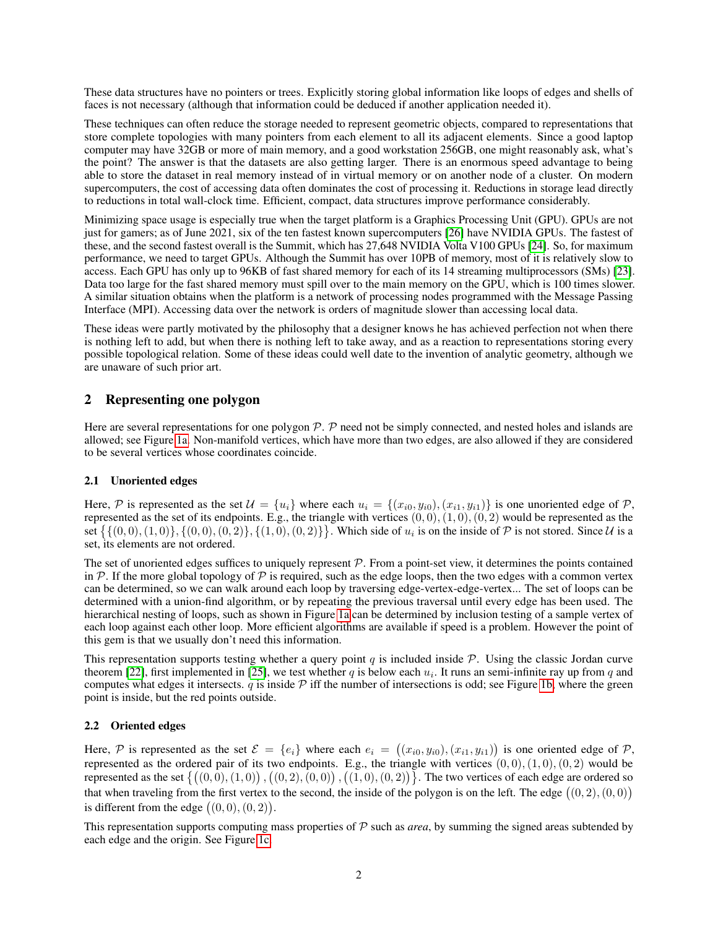These data structures have no pointers or trees. Explicitly storing global information like loops of edges and shells of faces is not necessary (although that information could be deduced if another application needed it).

These techniques can often reduce the storage needed to represent geometric objects, compared to representations that store complete topologies with many pointers from each element to all its adjacent elements. Since a good laptop computer may have 32GB or more of main memory, and a good workstation 256GB, one might reasonably ask, what's the point? The answer is that the datasets are also getting larger. There is an enormous speed advantage to being able to store the dataset in real memory instead of in virtual memory or on another node of a cluster. On modern supercomputers, the cost of accessing data often dominates the cost of processing it. Reductions in storage lead directly to reductions in total wall-clock time. Efficient, compact, data structures improve performance considerably.

Minimizing space usage is especially true when the target platform is a Graphics Processing Unit (GPU). GPUs are not just for gamers; as of June 2021, six of the ten fastest known supercomputers [\[26\]](#page-9-0) have NVIDIA GPUs. The fastest of these, and the second fastest overall is the Summit, which has 27,648 NVIDIA Volta V100 GPUs [\[24\]](#page-9-1). So, for maximum performance, we need to target GPUs. Although the Summit has over 10PB of memory, most of it is relatively slow to access. Each GPU has only up to 96KB of fast shared memory for each of its 14 streaming multiprocessors (SMs) [\[23\]](#page-9-2). Data too large for the fast shared memory must spill over to the main memory on the GPU, which is 100 times slower. A similar situation obtains when the platform is a network of processing nodes programmed with the Message Passing Interface (MPI). Accessing data over the network is orders of magnitude slower than accessing local data.

These ideas were partly motivated by the philosophy that a designer knows he has achieved perfection not when there is nothing left to add, but when there is nothing left to take away, and as a reaction to representations storing every possible topological relation. Some of these ideas could well date to the invention of analytic geometry, although we are unaware of such prior art.

## 2 Representing one polygon

Here are several representations for one polygon  $\mathcal{P}$ .  $\mathcal{P}$  need not be simply connected, and nested holes and islands are allowed; see Figure [1a.](#page-2-0) Non-manifold vertices, which have more than two edges, are also allowed if they are considered to be several vertices whose coordinates coincide.

#### 2.1 Unoriented edges

Here, P is represented as the set  $\mathcal{U} = \{u_i\}$  where each  $u_i = \{(x_{i0}, y_{i0}), (x_{i1}, y_{i1})\}$  is one unoriented edge of P, represented as the set of its endpoints. E.g., the triangle with vertices  $(0,0), (1,0), (0, 2)$  would be represented as the set  $\{\{(0,0), (1,0)\}, \{(0,0), (0,2)\}, \{(1,0), (0,2)\}\}\.$  Which side of  $u_i$  is on the inside of  $P$  is not stored. Since  $\mathcal U$  is a set, its elements are not ordered.

The set of unoriented edges suffices to uniquely represent  $P$ . From a point-set view, it determines the points contained in P. If the more global topology of P is required, such as the edge loops, then the two edges with a common vertex can be determined, so we can walk around each loop by traversing edge-vertex-edge-vertex... The set of loops can be determined with a union-find algorithm, or by repeating the previous traversal until every edge has been used. The hierarchical nesting of loops, such as shown in Figure [1a](#page-2-0) can be determined by inclusion testing of a sample vertex of each loop against each other loop. More efficient algorithms are available if speed is a problem. However the point of this gem is that we usually don't need this information.

This representation supports testing whether a query point q is included inside  $P$ . Using the classic Jordan curve theorem [\[22\]](#page-9-3), first implemented in [\[25\]](#page-9-4), we test whether q is below each  $u_i$ . It runs an semi-infinite ray up from q and computes what edges it intersects.  $q$  is inside  $\mathcal P$  iff the number of intersections is odd; see Figure [1b,](#page-2-0) where the green point is inside, but the red points outside.

## 2.2 Oriented edges

Here,  $P$  is represented as the set  $\mathcal{E} = \{e_i\}$  where each  $e_i = ((x_{i0}, y_{i0}), (x_{i1}, y_{i1}))$  is one oriented edge of  $P$ , represented as the ordered pair of its two endpoints. E.g., the triangle with vertices  $(0, 0), (1, 0), (0, 2)$  would be represented as the set  $\{((0,0), (1,0))$  ,  $((0,2), (0,0))$  ,  $((1,0), (0,2))\}$ . The two vertices of each edge are ordered so that when traveling from the first vertex to the second, the inside of the polygon is on the left. The edge  $((0, 2), (0, 0))$ is different from the edge  $((0,0),(0,2))$ .

This representation supports computing mass properties of  $\mathcal P$  such as *area*, by summing the signed areas subtended by each edge and the origin. See Figure [1c.](#page-2-0)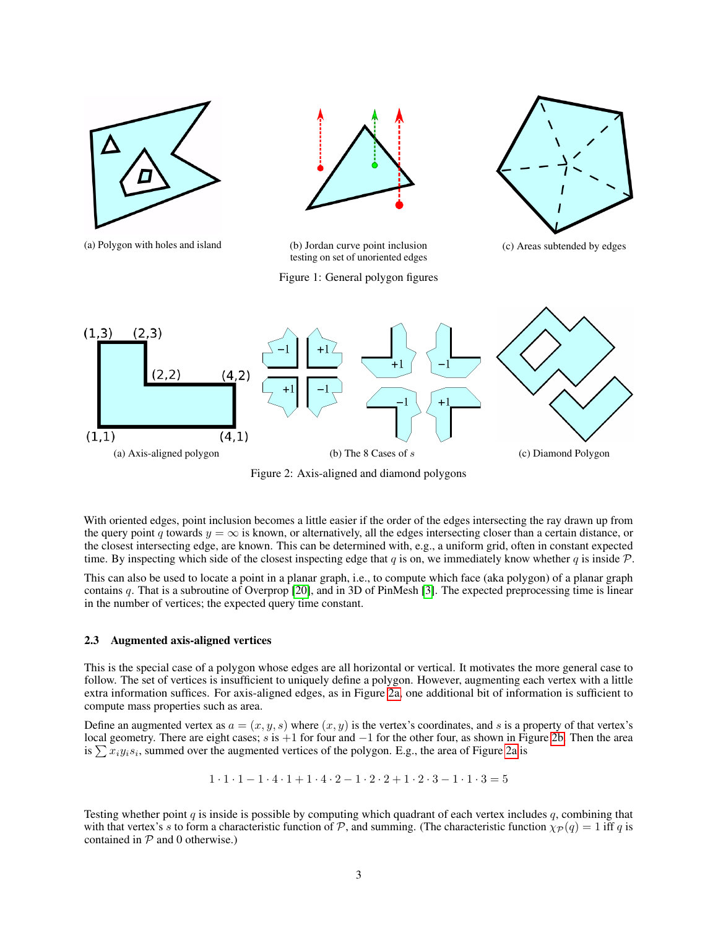<span id="page-2-0"></span>



(a) Polygon with holes and island (b) Jordan curve point inclusion testing on set of unoriented edges

Figure 1: General polygon figures

(c) Areas subtended by edges

<span id="page-2-1"></span>

Figure 2: Axis-aligned and diamond polygons

With oriented edges, point inclusion becomes a little easier if the order of the edges intersecting the ray drawn up from the query point q towards  $y = \infty$  is known, or alternatively, all the edges intersecting closer than a certain distance, or the closest intersecting edge, are known. This can be determined with, e.g., a uniform grid, often in constant expected time. By inspecting which side of the closest inspecting edge that q is on, we immediately know whether q is inside  $P$ .

This can also be used to locate a point in a planar graph, i.e., to compute which face (aka polygon) of a planar graph contains q. That is a subroutine of Overprop [\[20\]](#page-9-5), and in 3D of PinMesh [\[3\]](#page-8-0). The expected preprocessing time is linear in the number of vertices; the expected query time constant.

#### 2.3 Augmented axis-aligned vertices

This is the special case of a polygon whose edges are all horizontal or vertical. It motivates the more general case to follow. The set of vertices is insufficient to uniquely define a polygon. However, augmenting each vertex with a little extra information suffices. For axis-aligned edges, as in Figure [2a,](#page-2-1) one additional bit of information is sufficient to compute mass properties such as area.

Define an augmented vertex as  $a = (x, y, s)$  where  $(x, y)$  is the vertex's coordinates, and s is a property of that vertex's local geometry. There are eight cases; s is +1 for four and −1 for the other four, as shown in Figure [2b.](#page-2-1) Then the area is  $\sum x_i y_i s_i$ , summed over the augmented vertices of the polygon. E.g., the area of Figure [2a](#page-2-1) is

 $1 \cdot 1 \cdot 1 - 1 \cdot 4 \cdot 1 + 1 \cdot 4 \cdot 2 - 1 \cdot 2 \cdot 2 + 1 \cdot 2 \cdot 3 - 1 \cdot 1 \cdot 3 = 5$ 

Testing whether point  $q$  is inside is possible by computing which quadrant of each vertex includes  $q$ , combining that with that vertex's s to form a characteristic function of  $P$ , and summing. (The characteristic function  $\chi_P(q) = 1$  iff q is contained in  $P$  and 0 otherwise.)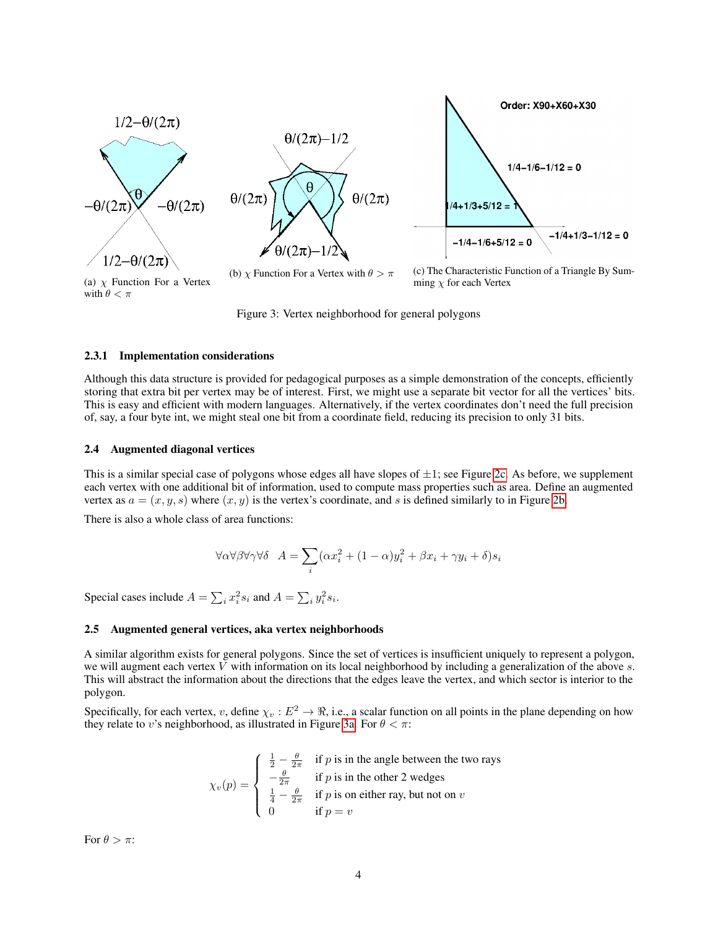<span id="page-3-0"></span>

Figure 3: Vertex neighborhood for general polygons

#### 2.3.1 Implementation considerations

Although this data structure is provided for pedagogical purposes as a simple demonstration of the concepts, efficiently storing that extra bit per vertex may be of interest. First, we might use a separate bit vector for all the vertices' bits. This is easy and efficient with modern languages. Alternatively, if the vertex coordinates don't need the full precision of, say, a four byte int, we might steal one bit from a coordinate field, reducing its precision to only 31 bits.

#### 2.4 Augmented diagonal vertices

This is a similar special case of polygons whose edges all have slopes of  $\pm 1$ ; see Figure [2c.](#page-2-1) As before, we supplement each vertex with one additional bit of information, used to compute mass properties such as area. Define an augmented vertex as  $a = (x, y, s)$  where  $(x, y)$  is the vertex's coordinate, and s is defined similarly to in Figure [2b.](#page-2-1)

There is also a whole class of area functions:

$$
\forall \alpha \forall \beta \forall \gamma \forall \delta \quad A = \sum_{i} (\alpha x_i^2 + (1 - \alpha)y_i^2 + \beta x_i + \gamma y_i + \delta)s_i
$$

Special cases include  $A = \sum_i x_i^2 s_i$  and  $A = \sum_i y_i^2 s_i$ .

#### 2.5 Augmented general vertices, aka vertex neighborhoods

A similar algorithm exists for general polygons. Since the set of vertices is insufficient uniquely to represent a polygon, we will augment each vertex  $V$  with information on its local neighborhood by including a generalization of the above  $s$ . This will abstract the information about the directions that the edges leave the vertex, and which sector is interior to the polygon.

Specifically, for each vertex, v, define  $\chi_v : E^2 \to \Re$ , i.e., a scalar function on all points in the plane depending on how they relate to v's neighborhood, as illustrated in Figure [3a.](#page-3-0) For  $\theta < \pi$ :

$$
\chi_v(p) = \begin{cases}\n\frac{1}{2} - \frac{\theta}{2\pi} & \text{if } p \text{ is in the angle between the two rays} \\
-\frac{\theta}{2\pi} & \text{if } p \text{ is in the other 2 wedges} \\
\frac{1}{4} - \frac{\theta}{2\pi} & \text{if } p \text{ is on either ray, but not on } v \\
0 & \text{if } p = v\n\end{cases}
$$

For  $\theta > \pi$ :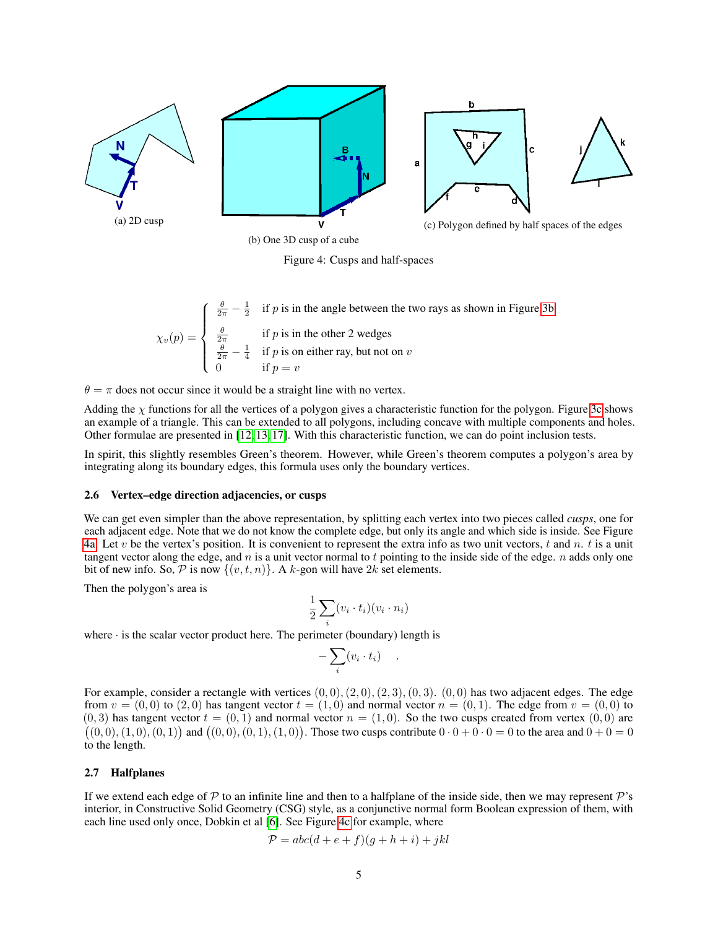<span id="page-4-0"></span>

Figure 4: Cusps and half-spaces

 $\chi_v(p) =$  $\sqrt{ }$  $\int$  $\overline{\mathcal{L}}$  $\frac{\theta}{2\pi} - \frac{1}{2}$  if p is in the angle between the two rays as shown in Figure [3b](#page-3-0)  $\frac{\theta}{2\pi}$  if p is in the other 2 wedges  $\frac{\theta}{2\pi} - \frac{1}{4}$  if p is on either ray, but not on v 0 if  $p = v$ 

 $\theta = \pi$  does not occur since it would be a straight line with no vertex.

Adding the  $\chi$  functions for all the vertices of a polygon gives a characteristic function for the polygon. Figure [3c](#page-3-0) shows an example of a triangle. This can be extended to all polygons, including concave with multiple components and holes. Other formulae are presented in [\[12,](#page-9-6) [13,](#page-9-7) [17\]](#page-9-8). With this characteristic function, we can do point inclusion tests.

In spirit, this slightly resembles Green's theorem. However, while Green's theorem computes a polygon's area by integrating along its boundary edges, this formula uses only the boundary vertices.

#### 2.6 Vertex–edge direction adjacencies, or cusps

We can get even simpler than the above representation, by splitting each vertex into two pieces called *cusps*, one for each adjacent edge. Note that we do not know the complete edge, but only its angle and which side is inside. See Figure [4a.](#page-4-0) Let v be the vertex's position. It is convenient to represent the extra info as two unit vectors, t and n. t is a unit tangent vector along the edge, and  $n$  is a unit vector normal to t pointing to the inside side of the edge.  $n$  adds only one bit of new info. So,  $P$  is now  $\{(v, t, n)\}\)$ . A k-gon will have  $2k$  set elements.

Then the polygon's area is

$$
\frac{1}{2} \sum_{i} (v_i \cdot t_i)(v_i \cdot n_i)
$$

where  $\cdot$  is the scalar vector product here. The perimeter (boundary) length is

$$
-\sum_i (v_i \cdot t_i) \quad .
$$

For example, consider a rectangle with vertices  $(0, 0), (2, 0), (2, 3), (0, 3)$ .  $(0, 0)$  has two adjacent edges. The edge from  $v = (0, 0)$  to  $(2, 0)$  has tangent vector  $t = (1, 0)$  and normal vector  $n = (0, 1)$ . The edge from  $v = (0, 0)$  to  $(0, 3)$  has tangent vector  $t = (0, 1)$  and normal vector  $n = (1, 0)$ . So the two cusps created from vertex  $(0, 0)$  are  $((0,0), (1,0), (0,1))$  and  $((0,0), (0,1), (1,0))$ . Those two cusps contribute  $0 \cdot 0 + 0 \cdot 0 = 0$  to the area and  $0 + 0 = 0$ to the length.

#### 2.7 Halfplanes

If we extend each edge of  $\mathcal P$  to an infinite line and then to a halfplane of the inside side, then we may represent  $\mathcal P$ 's interior, in Constructive Solid Geometry (CSG) style, as a conjunctive normal form Boolean expression of them, with each line used only once, Dobkin et al [\[6\]](#page-8-1). See Figure [4c](#page-4-0) for example, where

$$
\mathcal{P} = abc(d+e+f)(g+h+i) + jkl
$$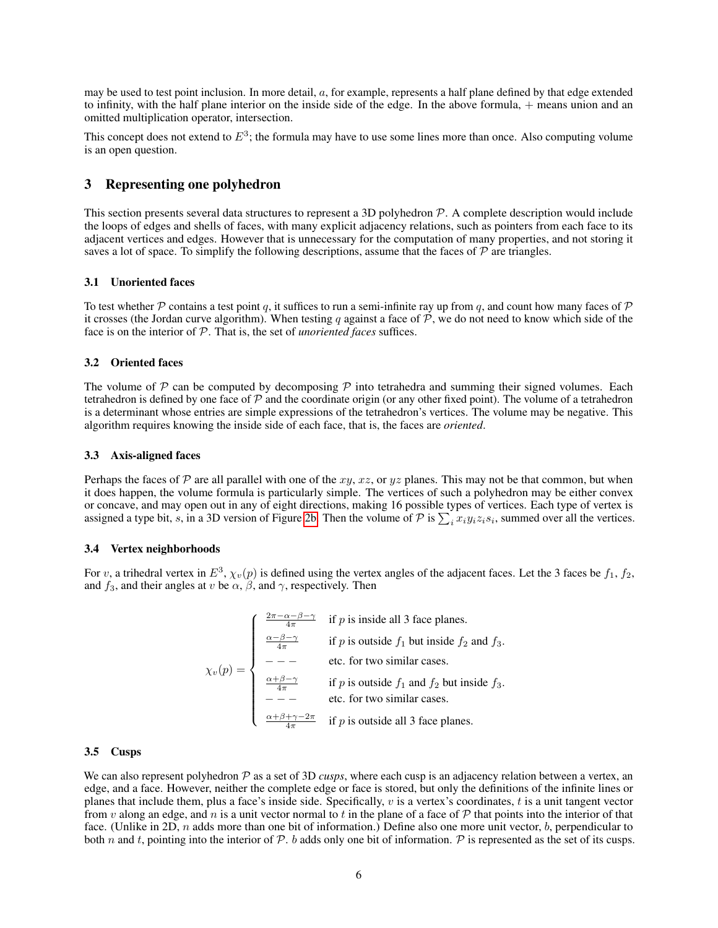may be used to test point inclusion. In more detail,  $a$ , for example, represents a half plane defined by that edge extended to infinity, with the half plane interior on the inside side of the edge. In the above formula, + means union and an omitted multiplication operator, intersection.

This concept does not extend to  $E^3$ ; the formula may have to use some lines more than once. Also computing volume is an open question.

## 3 Representing one polyhedron

This section presents several data structures to represent a 3D polyhedron  $P$ . A complete description would include the loops of edges and shells of faces, with many explicit adjacency relations, such as pointers from each face to its adjacent vertices and edges. However that is unnecessary for the computation of many properties, and not storing it saves a lot of space. To simplify the following descriptions, assume that the faces of  $P$  are triangles.

#### 3.1 Unoriented faces

To test whether P contains a test point q, it suffices to run a semi-infinite ray up from q, and count how many faces of P it crosses (the Jordan curve algorithm). When testing q against a face of  $P$ , we do not need to know which side of the face is on the interior of P. That is, the set of *unoriented faces* suffices.

#### 3.2 Oriented faces

The volume of  $P$  can be computed by decomposing  $P$  into tetrahedra and summing their signed volumes. Each tetrahedron is defined by one face of  $P$  and the coordinate origin (or any other fixed point). The volume of a tetrahedron is a determinant whose entries are simple expressions of the tetrahedron's vertices. The volume may be negative. This algorithm requires knowing the inside side of each face, that is, the faces are *oriented*.

#### 3.3 Axis-aligned faces

Perhaps the faces of  $P$  are all parallel with one of the xy, xz, or yz planes. This may not be that common, but when it does happen, the volume formula is particularly simple. The vertices of such a polyhedron may be either convex or concave, and may open out in any of eight directions, making 16 possible types of vertices. Each type of vertex is assigned a type bit, s, in a 3D version of Figure [2b.](#page-2-1) Then the volume of P is  $\sum_i x_i y_i z_i s_i$ , summed over all the vertices.

#### 3.4 Vertex neighborhoods

For v, a trihedral vertex in  $E^3$ ,  $\chi_v(p)$  is defined using the vertex angles of the adjacent faces. Let the 3 faces be  $f_1$ ,  $f_2$ , and  $f_3$ , and their angles at v be  $\alpha$ ,  $\beta$ , and  $\gamma$ , respectively. Then

$$
\chi_v(p) = \begin{cases}\n\frac{2\pi - \alpha - \beta - \gamma}{4\pi} & \text{if } p \text{ is inside all 3 face planes.} \\
\frac{\alpha - \beta - \gamma}{4\pi} & \text{if } p \text{ is outside } f_1 \text{ but inside } f_2 \text{ and } f_3. \\
-\text{etc. for two similar cases.} \\
\frac{\alpha + \beta - \gamma}{4\pi} & \text{if } p \text{ is outside } f_1 \text{ and } f_2 \text{ but inside } f_3. \\
-\text{etc. for two similar cases.} \\
\frac{\alpha + \beta + \gamma - 2\pi}{4\pi} & \text{if } p \text{ is outside all 3 face planes.} \\
\end{cases}
$$

#### 3.5 Cusps

We can also represent polyhedron  $P$  as a set of 3D *cusps*, where each cusp is an adjacency relation between a vertex, an edge, and a face. However, neither the complete edge or face is stored, but only the definitions of the infinite lines or planes that include them, plus a face's inside side. Specifically,  $v$  is a vertex's coordinates,  $t$  is a unit tangent vector from v along an edge, and n is a unit vector normal to t in the plane of a face of  $P$  that points into the interior of that face. (Unlike in 2D,  $n$  adds more than one bit of information.) Define also one more unit vector,  $b$ , perpendicular to both n and t, pointing into the interior of  $P$ . b adds only one bit of information. P is represented as the set of its cusps.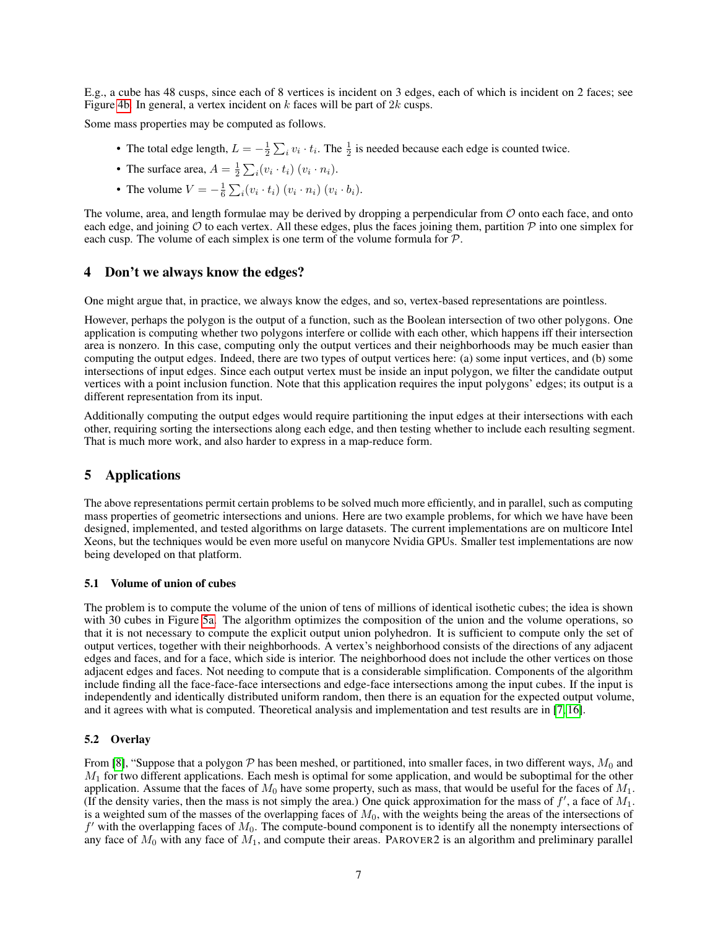E.g., a cube has 48 cusps, since each of 8 vertices is incident on 3 edges, each of which is incident on 2 faces; see Figure [4b.](#page-4-0) In general, a vertex incident on  $k$  faces will be part of  $2k$  cusps.

Some mass properties may be computed as follows.

- The total edge length,  $L = -\frac{1}{2} \sum_i v_i \cdot t_i$ . The  $\frac{1}{2}$  is needed because each edge is counted twice.
- The surface area,  $A = \frac{1}{2} \sum_i (v_i \cdot t_i) (v_i \cdot n_i)$ .
- The volume  $V = -\frac{1}{6} \sum_i (v_i \cdot t_i) (v_i \cdot n_i) (v_i \cdot b_i)$ .

The volume, area, and length formulae may be derived by dropping a perpendicular from  $O$  onto each face, and onto each edge, and joining  $O$  to each vertex. All these edges, plus the faces joining them, partition  $P$  into one simplex for each cusp. The volume of each simplex is one term of the volume formula for P.

### 4 Don't we always know the edges?

One might argue that, in practice, we always know the edges, and so, vertex-based representations are pointless.

However, perhaps the polygon is the output of a function, such as the Boolean intersection of two other polygons. One application is computing whether two polygons interfere or collide with each other, which happens iff their intersection area is nonzero. In this case, computing only the output vertices and their neighborhoods may be much easier than computing the output edges. Indeed, there are two types of output vertices here: (a) some input vertices, and (b) some intersections of input edges. Since each output vertex must be inside an input polygon, we filter the candidate output vertices with a point inclusion function. Note that this application requires the input polygons' edges; its output is a different representation from its input.

Additionally computing the output edges would require partitioning the input edges at their intersections with each other, requiring sorting the intersections along each edge, and then testing whether to include each resulting segment. That is much more work, and also harder to express in a map-reduce form.

## 5 Applications

The above representations permit certain problems to be solved much more efficiently, and in parallel, such as computing mass properties of geometric intersections and unions. Here are two example problems, for which we have have been designed, implemented, and tested algorithms on large datasets. The current implementations are on multicore Intel Xeons, but the techniques would be even more useful on manycore Nvidia GPUs. Smaller test implementations are now being developed on that platform.

#### 5.1 Volume of union of cubes

The problem is to compute the volume of the union of tens of millions of identical isothetic cubes; the idea is shown with 30 cubes in Figure [5a.](#page-7-0) The algorithm optimizes the composition of the union and the volume operations, so that it is not necessary to compute the explicit output union polyhedron. It is sufficient to compute only the set of output vertices, together with their neighborhoods. A vertex's neighborhood consists of the directions of any adjacent edges and faces, and for a face, which side is interior. The neighborhood does not include the other vertices on those adjacent edges and faces. Not needing to compute that is a considerable simplification. Components of the algorithm include finding all the face-face-face intersections and edge-face intersections among the input cubes. If the input is independently and identically distributed uniform random, then there is an equation for the expected output volume, and it agrees with what is computed. Theoretical analysis and implementation and test results are in [\[7,](#page-8-2) [16\]](#page-9-9).

#### 5.2 Overlay

From [\[8\]](#page-8-3), "Suppose that a polygon  $P$  has been meshed, or partitioned, into smaller faces, in two different ways,  $M_0$  and  $M_1$  for two different applications. Each mesh is optimal for some application, and would be suboptimal for the other application. Assume that the faces of  $M_0$  have some property, such as mass, that would be useful for the faces of  $M_1$ . (If the density varies, then the mass is not simply the area.) One quick approximation for the mass of  $f'$ , a face of  $M_1$ . is a weighted sum of the masses of the overlapping faces of  $M_0$ , with the weights being the areas of the intersections of  $f'$  with the overlapping faces of  $M_0$ . The compute-bound component is to identify all the nonempty intersections of any face of  $M_0$  with any face of  $M_1$ , and compute their areas. PAROVER2 is an algorithm and preliminary parallel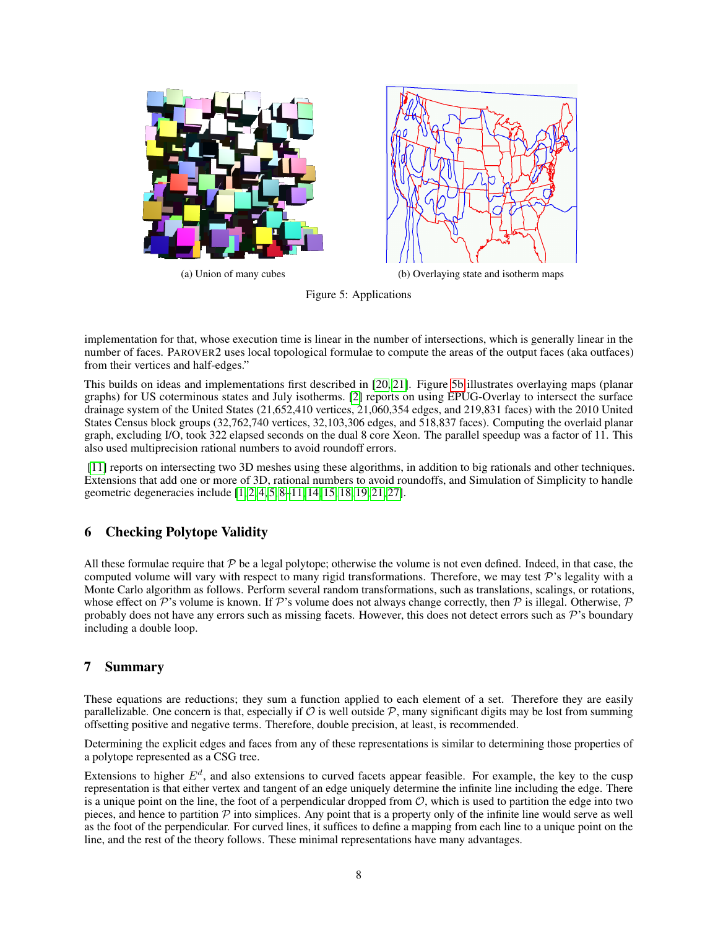<span id="page-7-0"></span>

Figure 5: Applications

implementation for that, whose execution time is linear in the number of intersections, which is generally linear in the number of faces. PAROVER2 uses local topological formulae to compute the areas of the output faces (aka outfaces) from their vertices and half-edges."

This builds on ideas and implementations first described in [\[20,](#page-9-5) [21\]](#page-9-10). Figure [5b](#page-7-0) illustrates overlaying maps (planar graphs) for US coterminous states and July isotherms. [\[2\]](#page-8-4) reports on using EPUG-Overlay to intersect the surface drainage system of the United States (21,652,410 vertices, 21,060,354 edges, and 219,831 faces) with the 2010 United States Census block groups (32,762,740 vertices, 32,103,306 edges, and 518,837 faces). Computing the overlaid planar graph, excluding I/O, took 322 elapsed seconds on the dual 8 core Xeon. The parallel speedup was a factor of 11. This also used multiprecision rational numbers to avoid roundoff errors.

[\[11\]](#page-8-5) reports on intersecting two 3D meshes using these algorithms, in addition to big rationals and other techniques. Extensions that add one or more of 3D, rational numbers to avoid roundoffs, and Simulation of Simplicity to handle geometric degeneracies include [\[1,](#page-8-6) [2,](#page-8-4) [4,](#page-8-7) [5,](#page-8-8) [8](#page-8-3)[–11,](#page-8-5) [14,](#page-9-11) [15,](#page-9-12) [18,](#page-9-13) [19,](#page-9-14) [21,](#page-9-10) [27\]](#page-9-15).

## 6 Checking Polytope Validity

All these formulae require that  $P$  be a legal polytope; otherwise the volume is not even defined. Indeed, in that case, the computed volume will vary with respect to many rigid transformations. Therefore, we may test  $\mathcal{P}$ 's legality with a Monte Carlo algorithm as follows. Perform several random transformations, such as translations, scalings, or rotations, whose effect on P's volume is known. If P's volume does not always change correctly, then P is illegal. Otherwise, P probably does not have any errors such as missing facets. However, this does not detect errors such as  $\mathcal{P}$ 's boundary including a double loop.

## 7 Summary

These equations are reductions; they sum a function applied to each element of a set. Therefore they are easily parallelizable. One concern is that, especially if  $\mathcal O$  is well outside  $\mathcal P$ , many significant digits may be lost from summing offsetting positive and negative terms. Therefore, double precision, at least, is recommended.

Determining the explicit edges and faces from any of these representations is similar to determining those properties of a polytope represented as a CSG tree.

Extensions to higher  $E^d$ , and also extensions to curved facets appear feasible. For example, the key to the cusp representation is that either vertex and tangent of an edge uniquely determine the infinite line including the edge. There is a unique point on the line, the foot of a perpendicular dropped from  $\mathcal{O}$ , which is used to partition the edge into two pieces, and hence to partition  $P$  into simplices. Any point that is a property only of the infinite line would serve as well as the foot of the perpendicular. For curved lines, it suffices to define a mapping from each line to a unique point on the line, and the rest of the theory follows. These minimal representations have many advantages.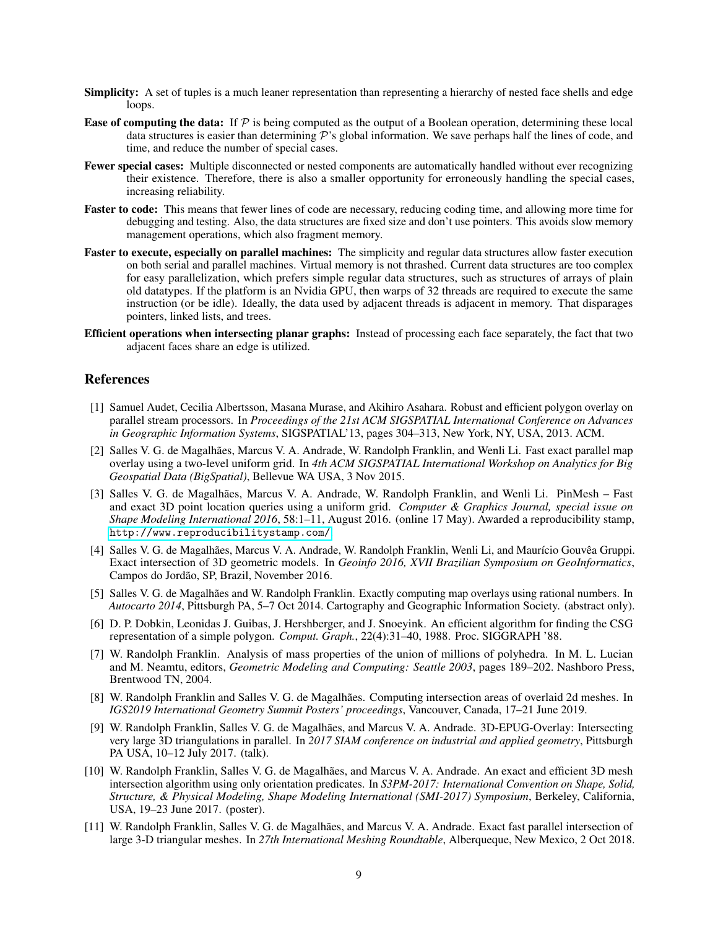- Simplicity: A set of tuples is a much leaner representation than representing a hierarchy of nested face shells and edge loops.
- **Ease of computing the data:** If  $P$  is being computed as the output of a Boolean operation, determining these local data structures is easier than determining  $\mathcal P$ 's global information. We save perhaps half the lines of code, and time, and reduce the number of special cases.
- Fewer special cases: Multiple disconnected or nested components are automatically handled without ever recognizing their existence. Therefore, there is also a smaller opportunity for erroneously handling the special cases, increasing reliability.
- Faster to code: This means that fewer lines of code are necessary, reducing coding time, and allowing more time for debugging and testing. Also, the data structures are fixed size and don't use pointers. This avoids slow memory management operations, which also fragment memory.
- Faster to execute, especially on parallel machines: The simplicity and regular data structures allow faster execution on both serial and parallel machines. Virtual memory is not thrashed. Current data structures are too complex for easy parallelization, which prefers simple regular data structures, such as structures of arrays of plain old datatypes. If the platform is an Nvidia GPU, then warps of 32 threads are required to execute the same instruction (or be idle). Ideally, the data used by adjacent threads is adjacent in memory. That disparages pointers, linked lists, and trees.
- Efficient operations when intersecting planar graphs: Instead of processing each face separately, the fact that two adjacent faces share an edge is utilized.

## References

- <span id="page-8-6"></span>[1] Samuel Audet, Cecilia Albertsson, Masana Murase, and Akihiro Asahara. Robust and efficient polygon overlay on parallel stream processors. In *Proceedings of the 21st ACM SIGSPATIAL International Conference on Advances in Geographic Information Systems*, SIGSPATIAL'13, pages 304–313, New York, NY, USA, 2013. ACM.
- <span id="page-8-4"></span>[2] Salles V. G. de Magalhães, Marcus V. A. Andrade, W. Randolph Franklin, and Wenli Li. Fast exact parallel map overlay using a two-level uniform grid. In *4th ACM SIGSPATIAL International Workshop on Analytics for Big Geospatial Data (BigSpatial)*, Bellevue WA USA, 3 Nov 2015.
- <span id="page-8-0"></span>[3] Salles V. G. de Magalhães, Marcus V. A. Andrade, W. Randolph Franklin, and Wenli Li. PinMesh – Fast and exact 3D point location queries using a uniform grid. *Computer & Graphics Journal, special issue on Shape Modeling International 2016*, 58:1–11, August 2016. (online 17 May). Awarded a reproducibility stamp, <http://www.reproducibilitystamp.com/>.
- <span id="page-8-7"></span>[4] Salles V. G. de Magalhães, Marcus V. A. Andrade, W. Randolph Franklin, Wenli Li, and Maurício Gouvêa Gruppi. Exact intersection of 3D geometric models. In *Geoinfo 2016, XVII Brazilian Symposium on GeoInformatics*, Campos do Jordão, SP, Brazil, November 2016.
- <span id="page-8-8"></span>[5] Salles V. G. de Magalhães and W. Randolph Franklin. Exactly computing map overlays using rational numbers. In *Autocarto 2014*, Pittsburgh PA, 5–7 Oct 2014. Cartography and Geographic Information Society. (abstract only).
- <span id="page-8-1"></span>[6] D. P. Dobkin, Leonidas J. Guibas, J. Hershberger, and J. Snoeyink. An efficient algorithm for finding the CSG representation of a simple polygon. *Comput. Graph.*, 22(4):31–40, 1988. Proc. SIGGRAPH '88.
- <span id="page-8-2"></span>[7] W. Randolph Franklin. Analysis of mass properties of the union of millions of polyhedra. In M. L. Lucian and M. Neamtu, editors, *Geometric Modeling and Computing: Seattle 2003*, pages 189–202. Nashboro Press, Brentwood TN, 2004.
- <span id="page-8-3"></span>[8] W. Randolph Franklin and Salles V. G. de Magalhães. Computing intersection areas of overlaid 2d meshes. In *IGS2019 International Geometry Summit Posters' proceedings*, Vancouver, Canada, 17–21 June 2019.
- [9] W. Randolph Franklin, Salles V. G. de Magalhães, and Marcus V. A. Andrade. 3D-EPUG-Overlay: Intersecting very large 3D triangulations in parallel. In *2017 SIAM conference on industrial and applied geometry*, Pittsburgh PA USA, 10–12 July 2017. (talk).
- [10] W. Randolph Franklin, Salles V. G. de Magalhães, and Marcus V. A. Andrade. An exact and efficient 3D mesh intersection algorithm using only orientation predicates. In *S3PM-2017: International Convention on Shape, Solid, Structure, & Physical Modeling, Shape Modeling International (SMI-2017) Symposium*, Berkeley, California, USA, 19–23 June 2017. (poster).
- <span id="page-8-5"></span>[11] W. Randolph Franklin, Salles V. G. de Magalhães, and Marcus V. A. Andrade. Exact fast parallel intersection of large 3-D triangular meshes. In *27th International Meshing Roundtable*, Alberqueque, New Mexico, 2 Oct 2018.